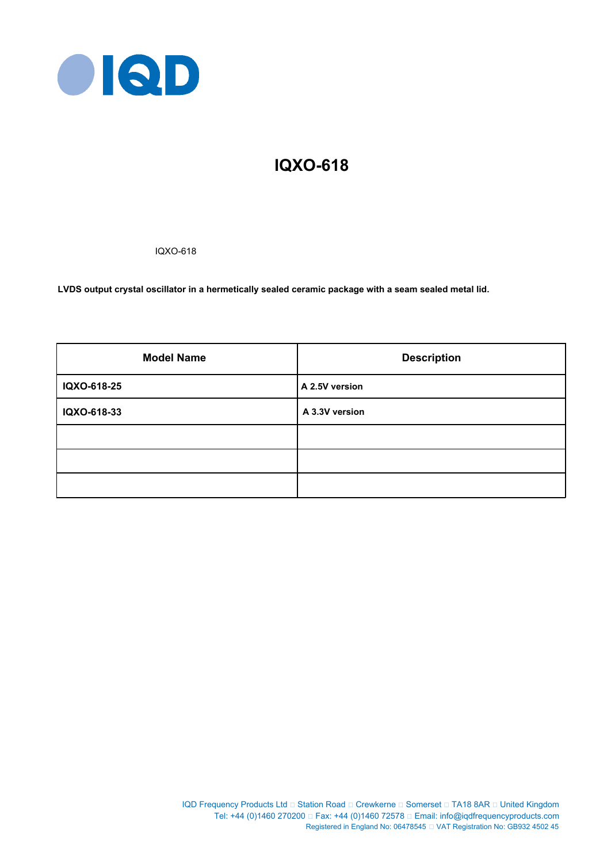

# **IQXO-618**

IQXO-618

**LVDS output crystal oscillator in a hermetically sealed ceramic package with a seam sealed metal lid.**

| <b>Model Name</b> | <b>Description</b> |
|-------------------|--------------------|
| IQXO-618-25       | A 2.5V version     |
| IQXO-618-33       | A 3.3V version     |
|                   |                    |
|                   |                    |
|                   |                    |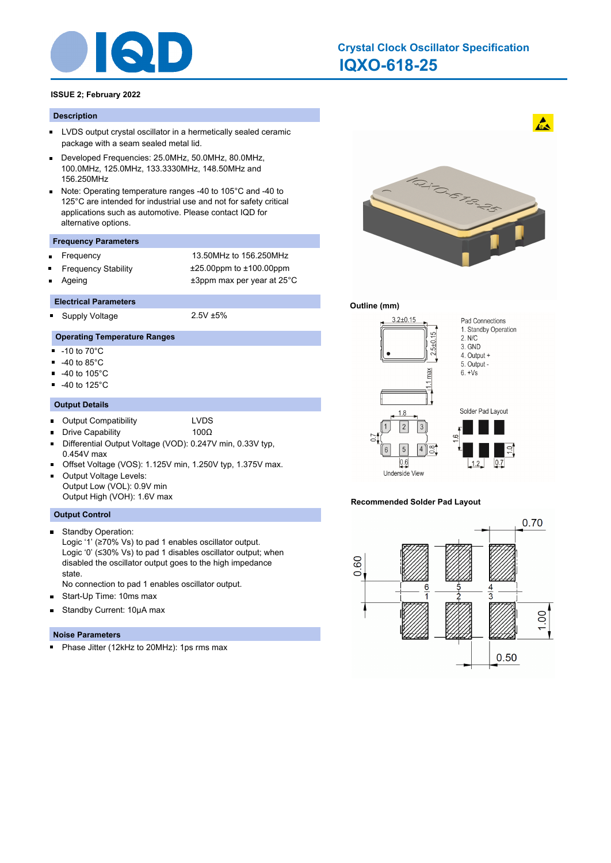

# **IQXO-618-25 Crystal Clock Oscillator Specification**

# **ISSUE 2; February 2022**

#### **Description**

- **LVDS** output crystal oscillator in a hermetically sealed ceramic package with a seam sealed metal lid.
- Developed Frequencies: 25.0MHz, 50.0MHz, 80.0MHz, П 100.0MHz, 125.0MHz, 133.3330MHz, 148.50MHz and 156.250MHz
- Note: Operating temperature ranges -40 to 105°C and -40 to  $\blacksquare$ 125°C are intended for industrial use and not for safety critical applications such as automotive. Please contact IQD for alternative options.

#### **Frequency Parameters**

Frequency 13.50MHz to 156.250MHz Frequency Stability ±25.00ppm to ±100.00ppm Ageing table 13ppm max per year at 25°C

#### **Electrical Parameters**

Supply Voltage 2.5V ±5% .

# **Operating Temperature Ranges**

- $-10$  to  $70^{\circ}$ C
- -40 to 85°C
- $\blacksquare$ -40 to 105°C
- -40 to 125°C  $\blacksquare$

#### **Output Details**

- Output Compatibility LVDS  $\blacksquare$ 
	- Drive Capability 100Ω
- Differential Output Voltage (VOD): 0.247V min, 0.33V typ, 0.454V max
- Offset Voltage (VOS): 1.125V min, 1.250V typ, 1.375V max.
- Output Voltage Levels: Output Low (VOL): 0.9V min Output High (VOH): 1.6V max

#### **Output Control**

 $\blacksquare$ 

- Standby Operation: Logic '1' (≥70% Vs) to pad 1 enables oscillator output. Logic '0' (≤30% Vs) to pad 1 disables oscillator output; when disabled the oscillator output goes to the high impedance state.
- No connection to pad 1 enables oscillator output.
- Start-Up Time: 10ms max  $\blacksquare$
- Standby Current: 10μA max  $\blacksquare$

#### **Noise Parameters**

a. Phase Jitter (12kHz to 20MHz): 1ps rms max



 $\mathbf{A}$ 

## **Outline (mm)**



#### **Recommended Solder Pad Layout**

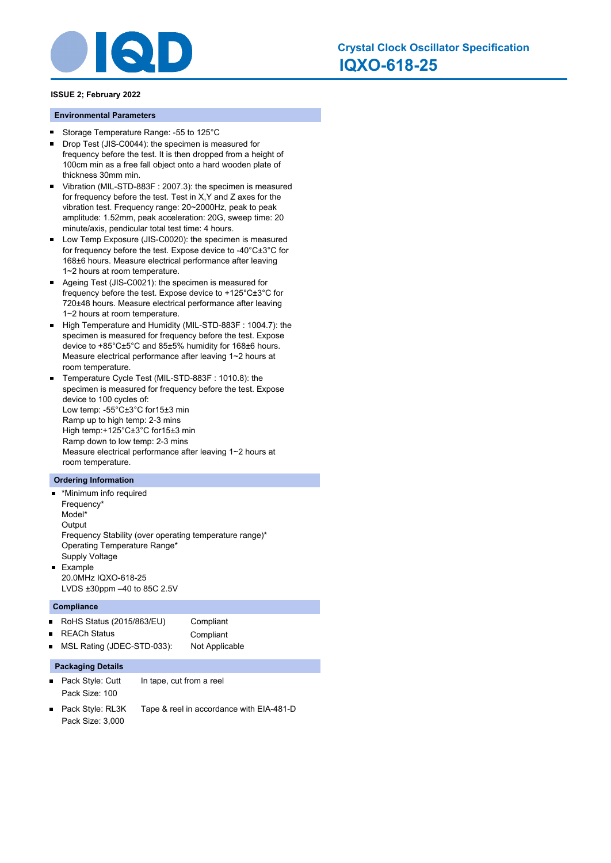

#### **Environmental Parameters**

- Storage Temperature Range: -55 to 125°C  $\blacksquare$
- Drop Test (JIS-C0044): the specimen is measured for  $\blacksquare$ frequency before the test. It is then dropped from a height of 100cm min as a free fall object onto a hard wooden plate of thickness 30mm min.
- Vibration (MIL-STD-883F : 2007.3): the specimen is measured  $\blacksquare$ for frequency before the test. Test in X,Y and Z axes for the vibration test. Frequency range: 20~2000Hz, peak to peak amplitude: 1.52mm, peak acceleration: 20G, sweep time: 20 minute/axis, pendicular total test time: 4 hours.
- Low Temp Exposure (JIS-C0020): the specimen is measured  $\blacksquare$ for frequency before the test. Expose device to -40°C±3°C for 168±6 hours. Measure electrical performance after leaving 1~2 hours at room temperature.
- $\blacksquare$ Ageing Test (JIS-C0021): the specimen is measured for frequency before the test. Expose device to +125°C±3°C for 720±48 hours. Measure electrical performance after leaving 1~2 hours at room temperature.
- $\blacksquare$ High Temperature and Humidity (MIL-STD-883F : 1004.7): the specimen is measured for frequency before the test. Expose device to +85°C±5°C and 85±5% humidity for 168±6 hours. Measure electrical performance after leaving 1~2 hours at room temperature.
- Temperature Cycle Test (MIL-STD-883F : 1010.8): the specimen is measured for frequency before the test. Expose device to 100 cycles of: Low temp: -55°C±3°C for15±3 min Ramp up to high temp: 2-3 mins High temp:+125°C±3°C for15±3 min Ramp down to low temp: 2-3 mins Measure electrical performance after leaving 1~2 hours at room temperature.

#### **Ordering Information**

- \*Minimum info required Frequency\* Model\* **Output** Frequency Stability (over operating temperature range)\* Operating Temperature Range\* Supply Voltage a. Example
	- 20.0MHz IQXO-618-25 LVDS ±30ppm –40 to 85C 2.5V

#### **Compliance**

| RoHS Status $(2015/863/EU)$  | Compliant      |
|------------------------------|----------------|
| ■ REACh Status               | Compliant      |
| ■ MSL Rating (JDEC-STD-033): | Not Applicable |

### **Packaging Details**

- Pack Style: Cutt In tape, cut from a reel Pack Size: 100
- Pack Style: RL3K Tape & reel in accordance with EIA-481-D Pack Size: 3,000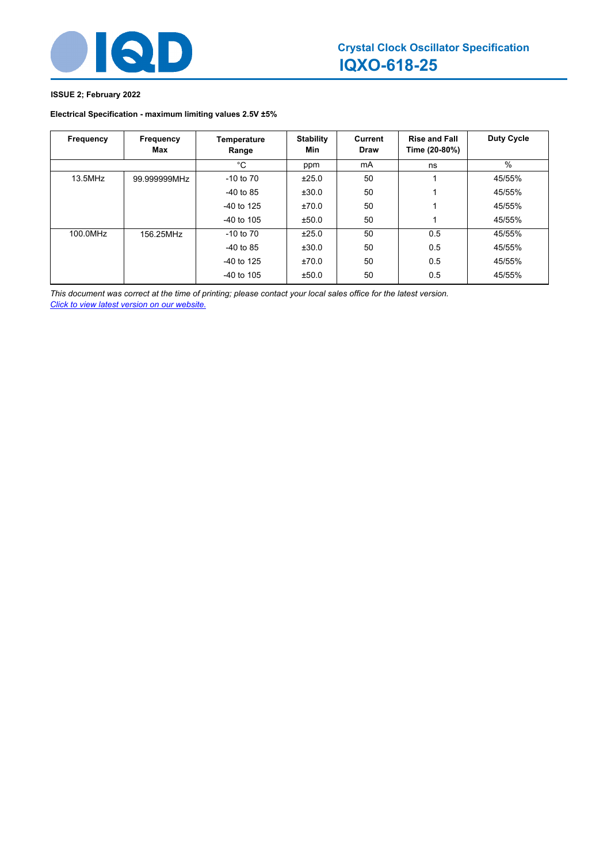

# **Electrical Specification - maximum limiting values 2.5V ±5%**

| Frequency | Frequency<br>Max | Temperature<br>Range | <b>Stability</b><br>Min | <b>Current</b><br><b>Draw</b> | <b>Rise and Fall</b><br>Time (20-80%) | <b>Duty Cycle</b> |
|-----------|------------------|----------------------|-------------------------|-------------------------------|---------------------------------------|-------------------|
|           |                  | °C                   | ppm                     | mA                            | ns                                    | $\%$              |
| 13.5MHz   | 99.999999MHz     | $-10$ to $70$        | ±25.0                   | 50                            |                                       | 45/55%            |
|           |                  | $-40$ to 85          | ±30.0                   | 50                            |                                       | 45/55%            |
|           |                  | $-40$ to 125         | ±70.0                   | 50                            |                                       | 45/55%            |
|           |                  | $-40$ to 105         | ±50.0                   | 50                            |                                       | 45/55%            |
| 100.0MHz  | 156.25MHz        | $-10$ to $70$        | ±25.0                   | 50                            | 0.5                                   | 45/55%            |
|           |                  | $-40$ to 85          | ±30.0                   | 50                            | 0.5                                   | 45/55%            |
|           |                  | $-40$ to 125         | ±70.0                   | 50                            | 0.5                                   | 45/55%            |
|           |                  | $-40$ to 105         | ±50.0                   | 50                            | 0.5                                   | 45/55%            |

*This document was correct at the time of printing; please contact your local sales office for the latest version. Click to view latest version on our website.*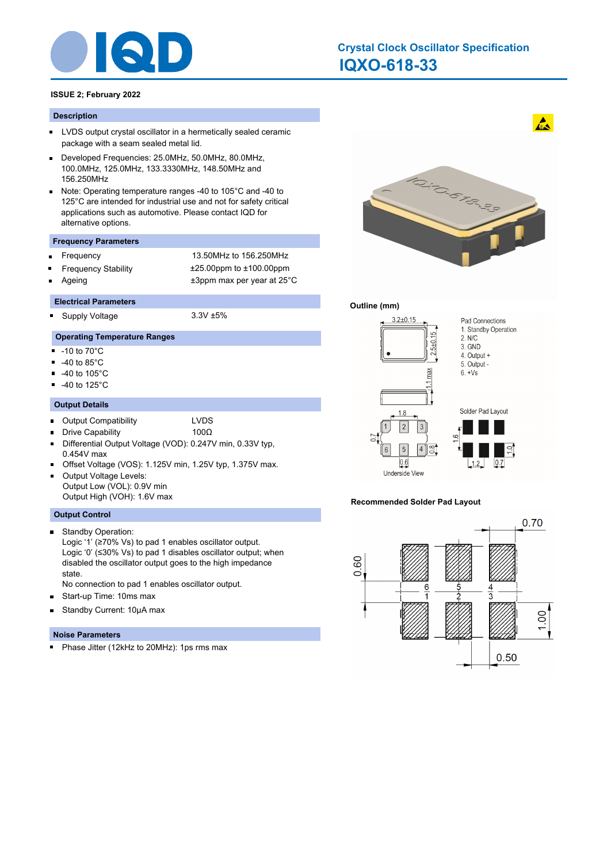

# **IQXO-618-33 Crystal Clock Oscillator Specification**

# **ISSUE 2; February 2022**

#### **Description**

- **LVDS** output crystal oscillator in a hermetically sealed ceramic package with a seam sealed metal lid.
- Developed Frequencies: 25.0MHz, 50.0MHz, 80.0MHz, П 100.0MHz, 125.0MHz, 133.3330MHz, 148.50MHz and 156.250MHz
- Note: Operating temperature ranges -40 to 105°C and -40 to  $\blacksquare$ 125°C are intended for industrial use and not for safety critical applications such as automotive. Please contact IQD for alternative options.

#### **Frequency Parameters**

Frequency 13.50MHz to 156.250MHz Frequency Stability ±25.00ppm to ±100.00ppm Ageing table 13ppm max per year at 25°C

#### **Electrical Parameters**

Supply Voltage 3.3V ±5% .

# **Operating Temperature Ranges**

- $-10$  to  $70^{\circ}$ C
- -40 to 85°C
- $\blacksquare$ -40 to 105°C
- -40 to 125°C  $\blacksquare$

### **Output Details**

- Output Compatibility LVDS  $\blacksquare$ 
	- Drive Capability 100Ω
- Differential Output Voltage (VOD): 0.247V min, 0.33V typ, 0.454V max
- Offset Voltage (VOS): 1.125V min, 1.25V typ, 1.375V max.
- Output Voltage Levels: Output Low (VOL): 0.9V min Output High (VOH): 1.6V max

#### **Output Control**

 $\blacksquare$ 

- Standby Operation: Logic '1' (≥70% Vs) to pad 1 enables oscillator output. Logic '0' (≤30% Vs) to pad 1 disables oscillator output; when disabled the oscillator output goes to the high impedance state.
- No connection to pad 1 enables oscillator output.
- Start-up Time: 10ms max  $\blacksquare$
- Standby Current: 10μA max  $\blacksquare$

#### **Noise Parameters**

a. Phase Jitter (12kHz to 20MHz): 1ps rms max



 $\mathbf{A}$ 

## **Outline (mm)**



#### **Recommended Solder Pad Layout**

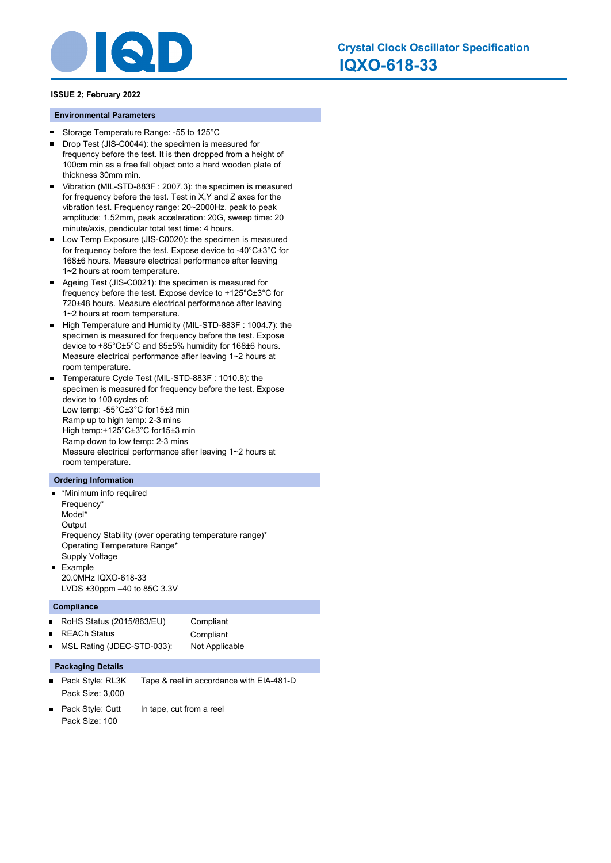

#### **Environmental Parameters**

- Storage Temperature Range: -55 to 125°C  $\blacksquare$
- Drop Test (JIS-C0044): the specimen is measured for  $\blacksquare$ frequency before the test. It is then dropped from a height of 100cm min as a free fall object onto a hard wooden plate of thickness 30mm min.
- Vibration (MIL-STD-883F : 2007.3): the specimen is measured  $\blacksquare$ for frequency before the test. Test in X,Y and Z axes for the vibration test. Frequency range: 20~2000Hz, peak to peak amplitude: 1.52mm, peak acceleration: 20G, sweep time: 20 minute/axis, pendicular total test time: 4 hours.
- Low Temp Exposure (JIS-C0020): the specimen is measured  $\blacksquare$ for frequency before the test. Expose device to -40°C±3°C for 168±6 hours. Measure electrical performance after leaving 1~2 hours at room temperature.
- $\blacksquare$ Ageing Test (JIS-C0021): the specimen is measured for frequency before the test. Expose device to +125°C±3°C for 720±48 hours. Measure electrical performance after leaving 1~2 hours at room temperature.
- High Temperature and Humidity (MIL-STD-883F: 1004.7): the specimen is measured for frequency before the test. Expose device to +85°C±5°C and 85±5% humidity for 168±6 hours. Measure electrical performance after leaving 1~2 hours at room temperature.
- Temperature Cycle Test (MIL-STD-883F : 1010.8): the specimen is measured for frequency before the test. Expose device to 100 cycles of: Low temp: -55°C±3°C for15±3 min Ramp up to high temp: 2-3 mins High temp:+125°C±3°C for15±3 min Ramp down to low temp: 2-3 mins Measure electrical performance after leaving 1~2 hours at room temperature.

#### **Ordering Information**

- \*Minimum info required Frequency\* Model\* **Output** Frequency Stability (over operating temperature range)\* Operating Temperature Range\* Supply Voltage a. Example
	- 20.0MHz IQXO-618-33 LVDS ±30ppm –40 to 85C 3.3V

#### **Compliance**

| RoHS Status $(2015/863/EU)$  | Compliant      |
|------------------------------|----------------|
| ■ REACh Status               | Compliant      |
| ■ MSL Rating (JDEC-STD-033): | Not Applicable |

# **Packaging Details**

- Pack Style: RL3K Tape & reel in accordance with EIA-481-D Pack Size: 3,000
- Pack Style: Cutt In tape, cut from a reel Pack Size: 100